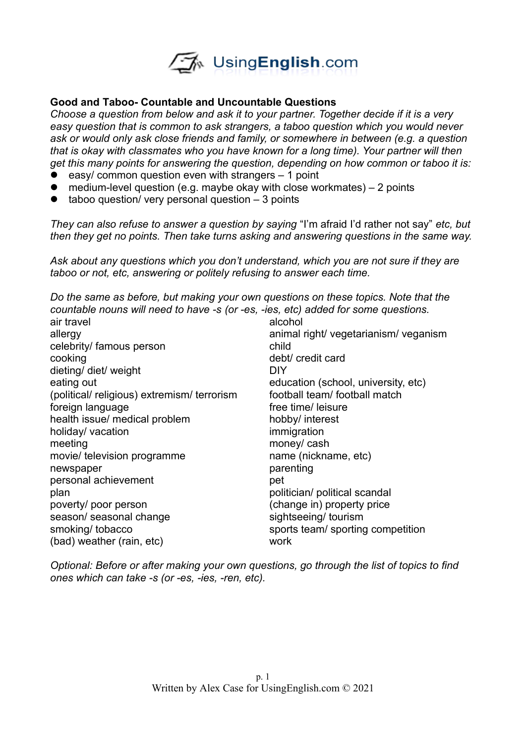

## **Good and Taboo- Countable and Uncountable Questions**

*Choose a question from below and ask it to your partner. Together decide if it is a very easy question that is common to ask strangers, a taboo question which you would never ask or would only ask close friends and family, or somewhere in between (e.g. a question that is okay with classmates who you have known for a long time). Your partner will then get this many points for answering the question, depending on how common or taboo it is:*

- $\bullet$  easy/ common question even with strangers  $-1$  point
- medium-level question (e.g. maybe okay with close workmates)  $-2$  points
- $\bullet$  taboo question/ very personal question  $-3$  points

*They can also refuse to answer a question by saying* "I'm afraid I'd rather not say" *etc, but then they get no points. Then take turns asking and answering questions in the same way.* 

*Ask about any questions which you don't understand, which you are not sure if they are taboo or not, etc, answering or politely refusing to answer each time.* 

*Do the same as before, but making your own questions on these topics. Note that the countable nouns will need to have -s (or -es, -ies, etc) added for some questions.*

| air travel                                | alcohol                               |
|-------------------------------------------|---------------------------------------|
| allergy                                   | animal right/ vegetarianism/ veganism |
| celebrity/ famous person                  | child                                 |
| cooking                                   | debt/ credit card                     |
| dieting/ diet/ weight                     | <b>DIY</b>                            |
| eating out                                | education (school, university, etc)   |
| (political/religious) extremism/terrorism | football team/ football match         |
| foreign language                          | free time/ leisure                    |
| health issue/ medical problem             | hobby/ interest                       |
| holiday/ vacation                         | immigration                           |
| meeting                                   | money/ cash                           |
| movie/ television programme               | name (nickname, etc)                  |
| newspaper                                 | parenting                             |
| personal achievement                      | pet                                   |
| plan                                      | politician/ political scandal         |
| poverty/ poor person                      | (change in) property price            |
| season/ seasonal change                   | sightseeing/ tourism                  |
| smoking/ tobacco                          | sports team/sporting competition      |
| (bad) weather (rain, etc)                 | work                                  |
|                                           |                                       |

*Optional: Before or after making your own questions, go through the list of topics to find ones which can take -s (or -es, -ies, -ren, etc).*